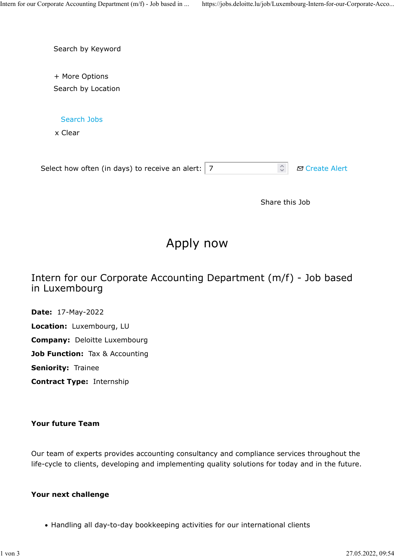Search by Keyword

+ More Options Search by Location

Search Jobs

x Clear

|  | Select how often (in days) to receive an alert: $ 7 $ |  | $\hat{z}$ $\sigma$ Create Alert |
|--|-------------------------------------------------------|--|---------------------------------|
|--|-------------------------------------------------------|--|---------------------------------|

Share this Job

# Apply now

## Intern for our Corporate Accounting Department (m/f) - Job based in Luxembourg

Date: 17-May-2022 Location: Luxembourg, LU Company: Deloitte Luxembourg Job Function: Tax & Accounting Seniority: Trainee Contract Type: Internship

#### Your future Team

Our team of experts provides accounting consultancy and compliance services throughout the life-cycle to clients, developing and implementing quality solutions for today and in the future.

#### Your next challenge

Handling all day-to-day bookkeeping activities for our international clients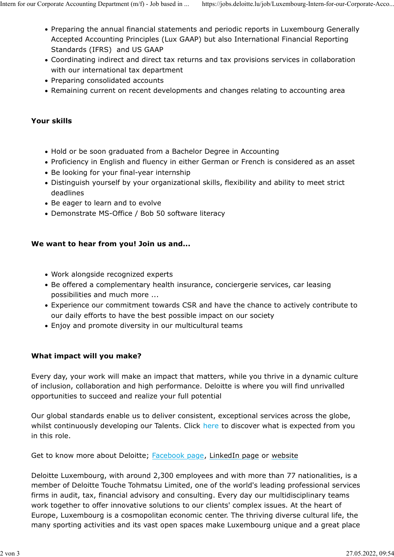- Preparing the annual financial statements and periodic reports in Luxembourg Generally Accepted Accounting Principles (Lux GAAP) but also International Financial Reporting Standards (IFRS) and US GAAP
- Coordinating indirect and direct tax returns and tax provisions services in collaboration with our international tax department
- Preparing consolidated accounts
- Remaining current on recent developments and changes relating to accounting area

## Your skills

- Hold or be soon graduated from a Bachelor Degree in Accounting
- Proficiency in English and fluency in either German or French is considered as an asset
- Be looking for your final-year internship
- Distinguish yourself by your organizational skills, flexibility and ability to meet strict deadlines
- Be eager to learn and to evolve
- Demonstrate MS-Office / Bob 50 software literacy

## We want to hear from you! Join us and...

- Work alongside recognized experts
- Be offered a complementary health insurance, conciergerie services, car leasing possibilities and much more ...
- Experience our commitment towards CSR and have the chance to actively contribute to our daily efforts to have the best possible impact on our society
- Enjoy and promote diversity in our multicultural teams

## What impact will you make?

Every day, your work will make an impact that matters, while you thrive in a dynamic culture of inclusion, collaboration and high performance. Deloitte is where you will find unrivalled opportunities to succeed and realize your full potential

Our global standards enable us to deliver consistent, exceptional services across the globe, whilst continuously developing our Talents. Click here to discover what is expected from you in this role.

Get to know more about Deloitte; **Facebook page, LinkedIn page or website** 

Deloitte Luxembourg, with around 2,300 employees and with more than 77 nationalities, is a member of Deloitte Touche Tohmatsu Limited, one of the world's leading professional services firms in audit, tax, financial advisory and consulting. Every day our multidisciplinary teams work together to offer innovative solutions to our clients' complex issues. At the heart of Europe, Luxembourg is a cosmopolitan economic center. The thriving diverse cultural life, the many sporting activities and its vast open spaces make Luxembourg unique and a great place